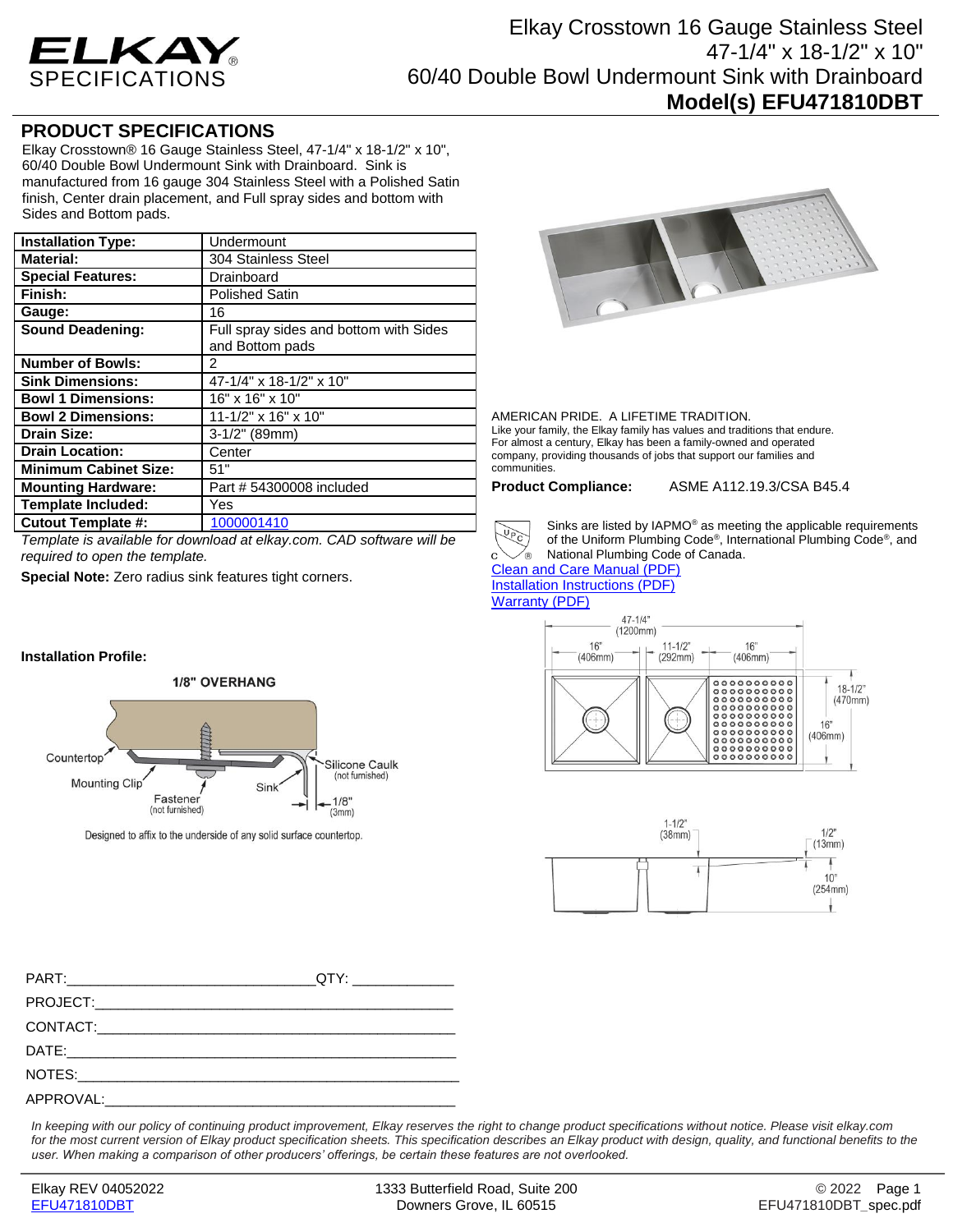

## **PRODUCT SPECIFICATIONS**

Elkay Crosstown® 16 Gauge Stainless Steel, 47-1/4" x 18-1/2" x 10", 60/40 Double Bowl Undermount Sink with Drainboard. Sink is manufactured from 16 gauge 304 Stainless Steel with a Polished Satin finish, Center drain placement, and Full spray sides and bottom with Sides and Bottom pads.

| <b>Installation Type:</b>    | Undermount                                                |
|------------------------------|-----------------------------------------------------------|
| <b>Material:</b>             | 304 Stainless Steel                                       |
| <b>Special Features:</b>     | Drainboard                                                |
| Finish:                      | <b>Polished Satin</b>                                     |
| Gauge:                       | 16                                                        |
| <b>Sound Deadening:</b>      | Full spray sides and bottom with Sides<br>and Bottom pads |
| <b>Number of Bowls:</b>      | 2                                                         |
| <b>Sink Dimensions:</b>      | 47-1/4" x 18-1/2" x 10"                                   |
| <b>Bowl 1 Dimensions:</b>    | 16" x 16" x 10"                                           |
| <b>Bowl 2 Dimensions:</b>    | 11-1/2" x 16" x 10"                                       |
| <b>Drain Size:</b>           | $3-1/2"$ (89mm)                                           |
| <b>Drain Location:</b>       | Center                                                    |
| <b>Minimum Cabinet Size:</b> | 51"                                                       |
| <b>Mounting Hardware:</b>    | Part # 54300008 included                                  |
| <b>Template Included:</b>    | Yes                                                       |
| <b>Cutout Template #:</b>    | 1000001410                                                |

*Template is available for download at elkay.com. CAD software will be required to open the template.*

**Special Note:** Zero radius sink features tight corners.

## **Installation Profile:**



Designed to affix to the underside of any solid surface countertop.



## AMERICAN PRIDE. A LIFETIME TRADITION.

Like your family, the Elkay family has values and traditions that endure. For almost a century, Elkay has been a family-owned and operated company, providing thousands of jobs that support our families and communities.

**Product Compliance:** ASME A112.19.3/CSA B45.4



∕⊛

Sinks are listed by IAPMO® as meeting the applicable requirements of the Uniform Plumbing Code® , International Plumbing Code® , and National Plumbing Code of Canada.

[Clean and Care Manual \(PDF\)](http://www.elkayfiles.com/care-cleaning-install-warranty-sheets/1000005386.pdf) [Installation Instructions \(PDF\)](http://www.elkayfiles.com/care-cleaning-install-warranty-sheets/1000005239.pdf) [Warranty](http://www.elkayfiles.com/care-cleaning-install-warranty-sheets/1000005125.pdf) (PDF)





PART:\_\_\_\_\_\_\_\_\_\_\_\_\_\_\_\_\_\_\_\_\_\_\_\_\_\_\_\_\_\_\_\_QTY: \_\_\_\_\_\_\_\_\_\_\_\_\_ PROJECT: CONTACT:\_\_\_\_\_\_\_\_\_\_\_\_\_\_\_\_\_\_\_\_\_\_\_\_\_\_\_\_\_\_\_\_\_\_\_\_\_\_\_\_\_\_\_\_\_\_ DATE:\_\_\_\_\_\_\_\_\_\_\_\_\_\_\_\_\_\_\_\_\_\_\_\_\_\_\_\_\_\_\_\_\_\_\_\_\_\_\_\_\_\_\_\_\_\_\_\_\_\_ NOTES: APPROVAL:

*In keeping with our policy of continuing product improvement, Elkay reserves the right to change product specifications without notice. Please visit elkay.com*  for the most current version of Elkay product specification sheets. This specification describes an Elkay product with design, quality, and functional benefits to the *user. When making a comparison of other producers' offerings, be certain these features are not overlooked.*